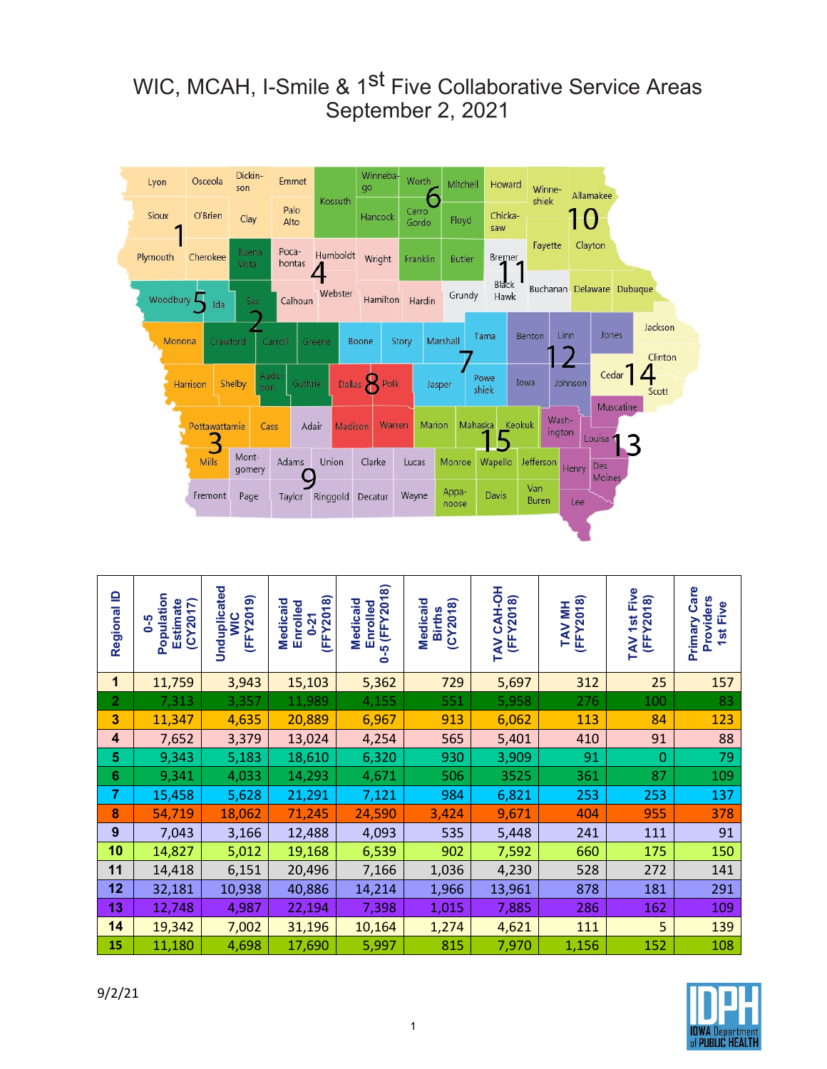## WIC, MCAH, I-Smile & 1<sup>st</sup> Five Collaborative Service Areas September 2, 2021



| Regional ID             | Population<br>(CY2017)<br>Estimate<br>$6 - 5$ | Unduplicated<br>(FFY2019)<br><b>SIM</b> | (FFY2018)<br><b>Medicaid</b><br>Enrolled<br>$0 - 21$ | 0-5 (FFY2018)<br><b>Medicaid</b><br>Enrolled | (CY2018)<br>Medicaid<br><b>Births</b> | TAV CAH-OH<br>(FFY2018) | (FFY2018)<br><b>TAV MH</b> | TAV 1st Five<br>(FFY2018) | <b>Primary Care</b><br>Providers<br>1st Five |
|-------------------------|-----------------------------------------------|-----------------------------------------|------------------------------------------------------|----------------------------------------------|---------------------------------------|-------------------------|----------------------------|---------------------------|----------------------------------------------|
| 1                       | 11,759                                        | 3,943                                   | 15,103                                               | 5,362                                        | 729                                   | 5,697                   | 312                        | 25                        | 157                                          |
| $\overline{\mathbf{2}}$ | 7,313                                         | 3,357                                   | 11,989                                               | 4,155                                        | 551                                   | 5,958                   | 276                        | 100                       | 83                                           |
| 3                       | 11,347                                        | 4,635                                   | 20,889                                               | 6,967                                        | 913                                   | 6,062                   | 113                        | 84                        | 123                                          |
| 4                       | 7,652                                         | 3,379                                   | 13,024                                               | 4,254                                        | 565                                   | 5,401                   | 410                        | 91                        | 88                                           |
| 5                       | 9,343                                         | 5,183                                   | 18,610                                               | 6,320                                        | 930                                   | 3,909                   | 91                         | $\overline{0}$            | 79                                           |
| 6                       | 9,341                                         | 4,033                                   | 14,293                                               | 4,671                                        | 506                                   | 3525                    | 361                        | 87                        | 109                                          |
| $\overline{7}$          | 15,458                                        | 5,628                                   | 21,291                                               | 7,121                                        | 984                                   | 6,821                   | 253                        | 253                       | 137                                          |
| 8                       | 54,719                                        | 18,062                                  | 71,245                                               | 24,590                                       | 3,424                                 | 9,671                   | 404                        | 955                       | 378                                          |
| 9                       | 7,043                                         | 3,166                                   | 12,488                                               | 4,093                                        | 535                                   | 5,448                   | 241                        | 111                       | 91                                           |
| 10                      | 14,827                                        | 5,012                                   | 19,168                                               | 6,539                                        | 902                                   | 7,592                   | 660                        | 175                       | 150                                          |
| 11                      | 14,418                                        | 6,151                                   | 20,496                                               | 7,166                                        | 1,036                                 | 4,230                   | 528                        | 272                       | 141                                          |
| 12                      | 32,181                                        | 10,938                                  | 40,886                                               | 14,214                                       | 1,966                                 | 13,961                  | 878                        | 181                       | 291                                          |
| 13                      | 12,748                                        | 4,987                                   | 22,194                                               | 7,398                                        | 1,015                                 | 7,885                   | 286                        | 162                       | 109                                          |
| 14                      | 19,342                                        | 7,002                                   | 31,196                                               | 10,164                                       | 1,274                                 | 4,621                   | 111                        | 5                         | 139                                          |
| 15                      | 11,180                                        | 4,698                                   | 17,690                                               | 5,997                                        | 815                                   | 7,970                   | 1,156                      | 152                       | 108                                          |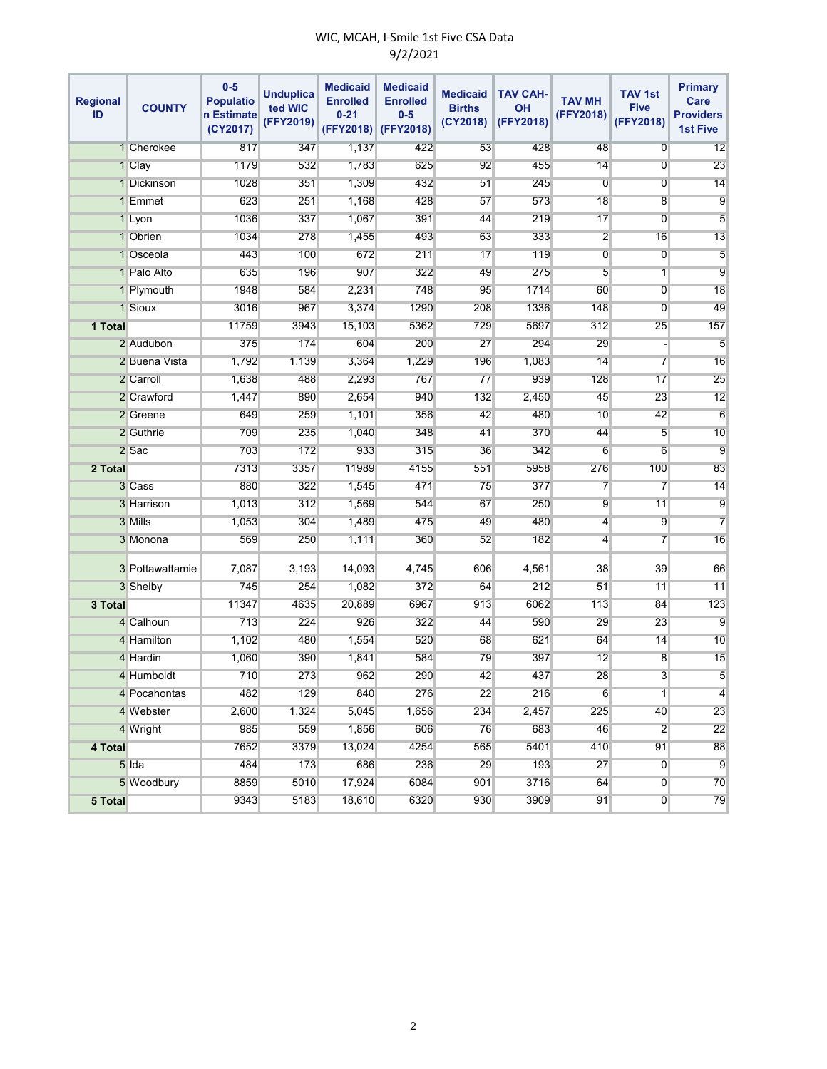## WIC, MCAH, I-Smile 1st Five CSA Data 9/2/2021

| <b>Regional</b><br>ID | <b>COUNTY</b>   | $0-5$<br><b>Populatio</b><br>n Estimate<br>(CY2017) | <b>Unduplica</b><br>ted WIC<br>(FFY2019) | <b>Medicaid</b><br><b>Enrolled</b><br>$0 - 21$<br>(FFY2018) | <b>Medicaid</b><br><b>Enrolled</b><br>$0-5$<br>(FFY2018) | <b>Medicaid</b><br><b>Births</b><br>(CY2018) | <b>TAV CAH-</b><br><b>OH</b><br>(FFY2018) | <b>TAV MH</b><br>(FFY2018) | <b>TAV 1st</b><br><b>Five</b><br>(FFY2018) | <b>Primary</b><br>Care<br><b>Providers</b><br><b>1st Five</b> |
|-----------------------|-----------------|-----------------------------------------------------|------------------------------------------|-------------------------------------------------------------|----------------------------------------------------------|----------------------------------------------|-------------------------------------------|----------------------------|--------------------------------------------|---------------------------------------------------------------|
|                       | 1 Cherokee      | 817                                                 | 347                                      | 1,137                                                       | 422                                                      | 53                                           | 428                                       | 48                         | $\overline{0}$                             | 12                                                            |
|                       | 1 Clay          | 1179                                                | 532                                      | 1,783                                                       | 625                                                      | 92                                           | 455                                       | 14                         | 0                                          | 23                                                            |
|                       | 1 Dickinson     | 1028                                                | 351                                      | 1,309                                                       | 432                                                      | 51                                           | 245                                       | $\overline{0}$             | $\overline{0}$                             | 14                                                            |
|                       | 1 Emmet         | 623                                                 | 251                                      | 1,168                                                       | 428                                                      | 57                                           | 573                                       | 18                         | 8                                          | $\overline{9}$                                                |
|                       | 1 Lyon          | 1036                                                | 337                                      | 1,067                                                       | 391                                                      | 44                                           | 219                                       | 17                         | 0                                          | 5                                                             |
|                       | 1 Obrien        | 1034                                                | 278                                      | 1,455                                                       | 493                                                      | 63                                           | 333                                       | $\overline{2}$             | 16                                         | 13                                                            |
|                       | 1 Osceola       | 443                                                 | 100                                      | 672                                                         | 211                                                      | 17                                           | 119                                       | $\overline{0}$             | 0                                          | 5                                                             |
|                       | 1 Palo Alto     | 635                                                 | 196                                      | 907                                                         | 322                                                      | 49                                           | 275                                       | 5 <sup>5</sup>             | $\overline{1}$                             | 9                                                             |
|                       | 1 Plymouth      | 1948                                                | 584                                      | 2,231                                                       | 748                                                      | 95                                           | 1714                                      | 60                         | $\overline{0}$                             | 18                                                            |
|                       | 1 Sioux         | 3016                                                | 967                                      | 3,374                                                       | 1290                                                     | 208                                          | 1336                                      | 148                        | 0                                          | 49                                                            |
| 1 Total               |                 | 11759                                               | 3943                                     | 15,103                                                      | 5362                                                     | 729                                          | 5697                                      | 312                        | 25                                         | 157                                                           |
|                       | 2 Audubon       | 375                                                 | 174                                      | 604                                                         | 200                                                      | 27                                           | 294                                       | 29                         |                                            | 5                                                             |
|                       | 2 Buena Vista   | 1,792                                               | 1,139                                    | 3,364                                                       | 1,229                                                    | 196                                          | 1,083                                     | 14                         | 7                                          | 16                                                            |
|                       | 2 Carroll       | 1,638                                               | 488                                      | 2,293                                                       | 767                                                      | 77                                           | 939                                       | 128                        | 17                                         | 25                                                            |
|                       | 2 Crawford      | 1,447                                               | 890                                      | 2,654                                                       | 940                                                      | 132                                          | 2,450                                     | 45                         | 23                                         | 12                                                            |
|                       | 2 Greene        | 649                                                 | 259                                      | 1,101                                                       | 356                                                      | 42                                           | 480                                       | 10                         | 42                                         | 6                                                             |
|                       | 2 Guthrie       | 709                                                 | 235                                      | 1,040                                                       | 348                                                      | 41                                           | 370                                       | 44                         | 5                                          | 10                                                            |
|                       | 2 Sac           | 703                                                 | 172                                      | 933                                                         | 315                                                      | 36                                           | 342                                       | $6\overline{6}$            | 6                                          | $\overline{9}$                                                |
| 2 Total               |                 | 7313                                                | 3357                                     | 11989                                                       | 4155                                                     | 551                                          | 5958                                      | 276                        | 100                                        | 83                                                            |
|                       | 3 Cass          | 880                                                 | 322                                      | 1,545                                                       | 471                                                      | 75                                           | 377                                       | 7                          | 7                                          | 14                                                            |
|                       | 3 Harrison      | 1,013                                               | 312                                      | 1,569                                                       | 544                                                      | 67                                           | 250                                       | 9                          | 11                                         | 9                                                             |
|                       | 3 Mills         | 1,053                                               | 304                                      | 1,489                                                       | 475                                                      | 49                                           | 480                                       | $\overline{4}$             | 9                                          | $\overline{7}$                                                |
|                       | 3 Monona        | 569                                                 | 250                                      | 1,111                                                       | 360                                                      | 52                                           | 182                                       | $\overline{4}$             | 7                                          | 16                                                            |
|                       | 3 Pottawattamie | 7,087                                               | 3,193                                    | 14,093                                                      | 4,745                                                    | 606                                          | 4,561                                     | 38                         | 39                                         | 66                                                            |
|                       | 3 Shelby        | 745                                                 | 254                                      | 1,082                                                       | 372                                                      | 64                                           | 212                                       | 51                         | 11                                         | 11                                                            |
| 3 Total               |                 | 11347                                               | 4635                                     | 20,889                                                      | 6967                                                     | 913                                          | 6062                                      | 113                        | 84                                         | 123                                                           |
|                       | 4 Calhoun       | 713                                                 | 224                                      | 926                                                         | 322                                                      | 44                                           | 590                                       | 29                         | 23                                         | $\overline{9}$                                                |
|                       | 4 Hamilton      | 1,102                                               | 480                                      | 1,554                                                       | 520                                                      | 68                                           | 621                                       | 64                         | 14                                         | 10                                                            |
|                       | 4 Hardin        | 1,060                                               | 390                                      | 1,841                                                       | 584                                                      | 79                                           | 397                                       | 12                         | 8                                          | 15                                                            |
|                       | 4 Humboldt      | 710                                                 | 273                                      | 962                                                         | 290                                                      | 42                                           | 437                                       | 28                         | 3                                          | 5                                                             |
|                       | 4 Pocahontas    | 482                                                 | 129                                      | 840                                                         | 276                                                      | 22                                           | 216                                       | 6                          | $\overline{1}$                             | 4                                                             |
|                       | 4 Webster       | 2,600                                               | 1,324                                    | 5,045                                                       | 1,656                                                    | 234                                          | 2,457                                     | 225                        | 40                                         | 23                                                            |
|                       | 4 Wright        | 985                                                 | 559                                      | 1,856                                                       | 606                                                      | 76                                           | 683                                       | 46                         | $\overline{2}$                             | 22                                                            |
| 4 Total               |                 | 7652                                                | 3379                                     | 13,024                                                      | 4254                                                     | 565                                          | 5401                                      | 410                        | 91                                         | 88                                                            |
|                       | 5 Ida           | 484                                                 | 173                                      | 686                                                         | 236                                                      | 29                                           | 193                                       | 27                         | $\overline{0}$                             | 9                                                             |
|                       | 5 Woodbury      | 8859                                                | 5010                                     | 17,924                                                      | 6084                                                     | 901                                          | 3716                                      | 64                         | 0                                          | 70                                                            |
| 5 Total               |                 | 9343                                                | 5183                                     | 18,610                                                      | 6320                                                     | 930                                          | 3909                                      | 91                         | $\overline{0}$                             | 79                                                            |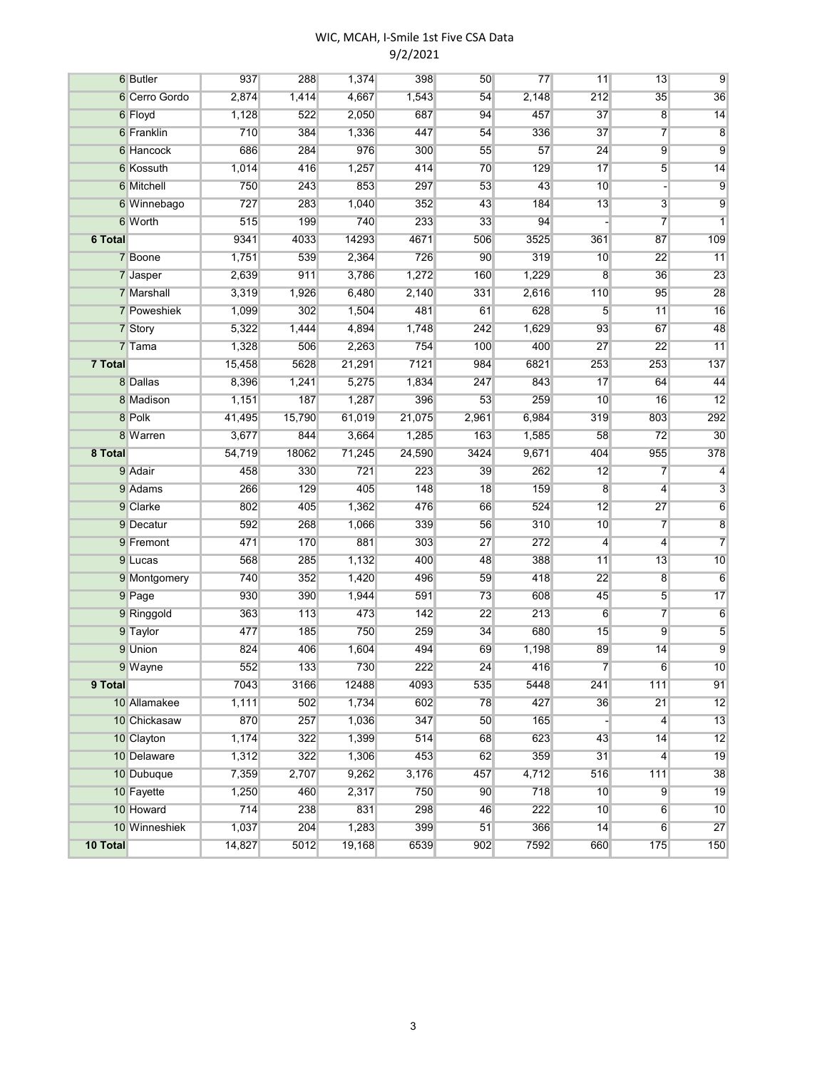## WIC, MCAH, I-Smile 1st Five CSA Data 9/2/2021

|          | 6 Butler      | 937    | 288    | 1,374  | 398    | 50    | 77    | 11             | 13              | $\overline{9}$  |
|----------|---------------|--------|--------|--------|--------|-------|-------|----------------|-----------------|-----------------|
|          | 6 Cerro Gordo | 2,874  | 1,414  | 4,667  | 1,543  | 54    | 2,148 | 212            | 35              | 36              |
|          | 6 Floyd       | 1,128  | 522    | 2,050  | 687    | 94    | 457   | 37             | 8               | 14              |
|          | 6 Franklin    | 710    | 384    | 1,336  | 447    | 54    | 336   | 37             | 7               | 8               |
|          | 6 Hancock     | 686    | 284    | 976    | 300    | 55    | 57    | 24             | 9               | 9               |
|          | 6 Kossuth     | 1,014  | 416    | 1,257  | 414    | 70    | 129   | 17             | 5               | 14              |
|          | 6 Mitchell    | 750    | 243    | 853    | 297    | 53    | 43    | 10             |                 | $\overline{9}$  |
|          | 6 Winnebago   | 727    | 283    | 1,040  | 352    | 43    | 184   | 13             | $\overline{3}$  | 9               |
|          | 6 Worth       | 515    | 199    | 740    | 233    | 33    | 94    |                | $\overline{7}$  | $\overline{1}$  |
| 6 Total  |               | 9341   | 4033   | 14293  | 4671   | 506   | 3525  | 361            | 87              | 109             |
|          | 7 Boone       | 1,751  | 539    | 2,364  | 726    | 90    | 319   | 10             | 22              | 11              |
|          | 7 Jasper      | 2,639  | 911    | 3,786  | 1,272  | 160   | 1,229 | 8              | 36              | 23              |
|          | 7 Marshall    | 3,319  | 1,926  | 6,480  | 2,140  | 331   | 2,616 | 110            | 95              | 28              |
|          | 7 Poweshiek   | 1,099  | 302    | 1,504  | 481    | 61    | 628   | 5              | 11              | 16              |
|          | 7 Story       | 5,322  | 1,444  | 4,894  | 1,748  | 242   | 1,629 | 93             | 67              | 48              |
|          | 7 Tama        | 1,328  | 506    | 2,263  | 754    | 100   | 400   | 27             | 22              | 11              |
| 7 Total  |               | 15,458 | 5628   | 21,291 | 7121   | 984   | 6821  | 253            | 253             | 137             |
|          | 8 Dallas      | 8,396  | 1,241  | 5,275  | 1,834  | 247   | 843   | 17             | 64              | 44              |
|          | 8 Madison     | 1,151  | 187    | 1,287  | 396    | 53    | 259   | 10             | 16              | 12              |
|          | 8 Polk        | 41,495 | 15,790 | 61,019 | 21,075 | 2,961 | 6,984 | 319            | 803             | 292             |
|          | 8 Warren      | 3,677  | 844    | 3,664  | 1,285  | 163   | 1,585 | 58             | 72              | 30              |
| 8 Total  |               | 54.719 | 18062  | 71,245 | 24,590 | 3424  | 9,671 | 404            | 955             | 378             |
|          | 9 Adair       | 458    | 330    | 721    | 223    | 39    | 262   | 12             | 7               | $\overline{4}$  |
|          | 9 Adams       | 266    | 129    | 405    | 148    | 18    | 159   | $\overline{8}$ | $\overline{4}$  | 3               |
|          | 9 Clarke      | 802    | 405    | 1,362  | 476    | 66    | 524   | 12             | 27              | 6               |
|          | 9 Decatur     | 592    | 268    | 1,066  | 339    | 56    | 310   | 10             | 7               | 8               |
|          | 9 Fremont     | 471    | 170    | 881    | 303    | 27    | 272   | $\overline{4}$ | 4               | $\overline{7}$  |
|          | 9 Lucas       | 568    | 285    | 1,132  | 400    | 48    | 388   | 11             | 13              | 10              |
|          | 9 Montgomery  | 740    | 352    | 1,420  | 496    | 59    | 418   | 22             | 8               | $6\overline{6}$ |
|          | 9 Page        | 930    | 390    | 1,944  | 591    | 73    | 608   | 45             | 5               | 17              |
|          | 9 Ringgold    | 363    | 113    | 473    | 142    | 22    | 213   | 6              | 7               | $6\overline{6}$ |
|          | 9 Taylor      | 477    | 185    | 750    | 259    | 34    | 680   | 15             | 9               | $\overline{5}$  |
|          | 9 Union       | 824    | 406    | 1,604  | 494    | 69    | 1,198 | 89             | 14              | $\overline{9}$  |
|          | 9 Wayne       | 552    | 133    | 730    | 222    | 24    | 416   | $\overline{7}$ | $6\overline{6}$ | 10              |
| 9 Total  |               | 7043   | 3166   | 12488  | 4093   | 535   | 5448  | 241            | 111             | 91              |
|          | 10 Allamakee  | 1,111  | 502    | 1,734  | 602    | 78    | 427   | 36             | 21              | 12              |
|          | 10 Chickasaw  | 870    | 257    | 1,036  | 347    | 50    | 165   |                | $\overline{4}$  | 13              |
|          | 10 Clayton    | 1,174  | 322    | 1,399  | 514    | 68    | 623   | 43             | 14              | 12              |
|          | 10 Delaware   | 1,312  | 322    | 1,306  | 453    | 62    | 359   | 31             | $\overline{4}$  | 19              |
|          | 10 Dubuque    | 7,359  | 2,707  | 9,262  | 3,176  | 457   | 4,712 | 516            | 111             | 38              |
|          | 10 Fayette    | 1,250  | 460    | 2,317  | 750    | 90    | 718   | 10             | $\overline{9}$  | 19              |
|          | 10 Howard     | 714    | 238    | 831    | 298    | 46    | 222   | 10             | 6               | 10              |
|          | 10 Winneshiek | 1,037  | 204    | 1,283  | 399    | 51    | 366   | 14             | 6               | 27              |
| 10 Total |               | 14,827 | 5012   | 19,168 | 6539   | 902   | 7592  | 660            | 175             | 150             |